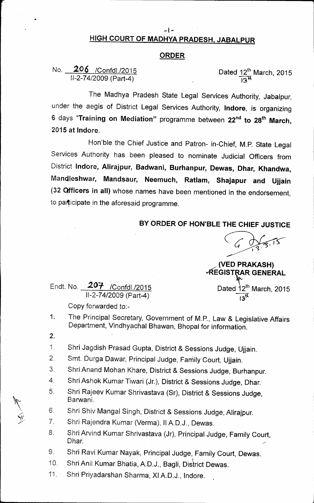## HIGH COURT OF MADHYA PRADESH, JABALPUR

-I-

## ORDER

No. 206 / Confdl./2015 1/-2-74/2009 (Part-4)

Dated 12 $^{\rm th}$  March, 2015

The Madhya Pradesh State Legal Services Authority, Jabalpur, under the aegis of District Legal Services Authority, Indore, is organizing 6 days "Training on Mediation" programme between 22<sup>nd</sup> to 28<sup>th</sup> March, 2015 at Indore.

Hon'ble the Chief Justice and Patron- in-Chief, M.P. State Legal Services Authority has been pleased to nominate Judicial Officers from District Indore, Alirajpur, Badwani, Burhanpur, Dewas, Dhar, Khandwa, Mandleshwar, Mandsaur, Neemuch, Ratlam, Shajapur and Ujjain (32 Qfficers in all) whose names have been mentioned in the endorsement, to participate in the aforesaid programme.

## BY ORDER OF HON'BLE THE CHIEF JUSTICE

(VED PRAKASH) **VREGISTRAR GENERAL**  $\sum_{n=1}^{\infty}$  Dated  $12^{\text{th}}$  March, 2015

l $3^{\rm th}$ 

Endt. No. **207** / Confdl./2015 11-2-74/2009 (Part-4)

Copy forwarded to:-

- The Principal Secretary, Government of M.P., Law & Legislative Affairs Department, Vindhyachal Bhawan, Bhopal for information. 1.
- 2.
- \$hri Jagdish Prasad Gupta, District & Sessions Judge, Ujjain. 1.
- Smt. Durga Dawar, Principal Judge, Family Court, Ujjain. 2.
- Shri Anand Mohan Khare, District & Sessions Judge, Burhanpur. 3.
- Shri Ashok Kumar Tiwari (Jr.), District & Sessions Judge, Dhar. 4.
- Shri Rajeev Kumar Shrivastava (Sr), District & Sessions Judge, Barwani. 5.
- Shri Shiv Mangal Singh, District & Sessions Judge, Alirajpur. ~ 6.
- Shri Rajendra Kumar (Verma), Il A.D.J., Dewas. *jl* 7.
- Shri Arvind Kumar Shrivastava (Jr), Principal Judge, Family Court, Dhar / Anna anns an t-ainm an t-ainm anns an t-ainm an t-ainm an t-ainm an t-ainm an t-ainm an t-ainm an t-ainm 8.
- Shri Ravi Kumar Nayak, Principal Judge, Family Court, Dewas. , 9.
- Shri Anil Kumar Bhatia, A.D.J., Bagli, District Dewas. 10.
- Shri Priyadarshan Sharma, XI A.D.J., Indore. . 11.

/